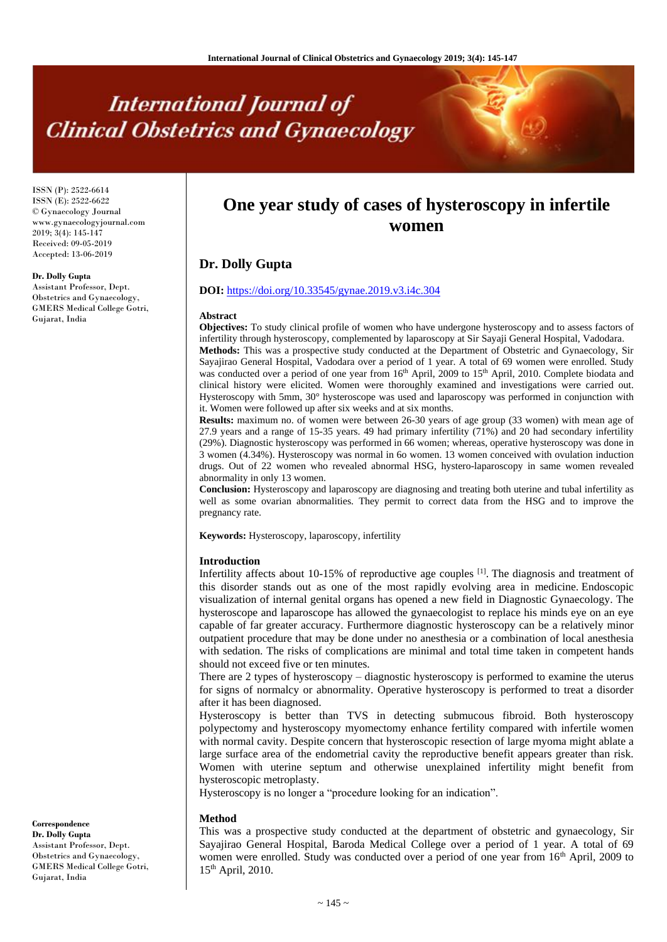# **International Journal of Clinical Obstetrics and Gynaecology**

ISSN (P): 2522-6614 ISSN (E): 2522-6622 © Gynaecology Journal www.gynaecologyjournal.com 2019; 3(4): 145-147 Received: 09-05-2019 Accepted: 13-06-2019

**Dr. Dolly Gupta**

Assistant Professor, Dept. Obstetrics and Gynaecology, GMERS Medical College Gotri, Gujarat, India

# **One year study of cases of hysteroscopy in infertile women**

# **Dr. Dolly Gupta**

# **DOI:** <https://doi.org/10.33545/gynae.2019.v3.i4c.304>

#### **Abstract**

**Objectives:** To study clinical profile of women who have undergone hysteroscopy and to assess factors of infertility through hysteroscopy, complemented by laparoscopy at Sir Sayaji General Hospital, Vadodara. **Methods:** This was a prospective study conducted at the Department of Obstetric and Gynaecology, Sir

Sayajirao General Hospital, Vadodara over a period of 1 year. A total of 69 women were enrolled. Study was conducted over a period of one year from 16<sup>th</sup> April, 2009 to 15<sup>th</sup> April, 2010. Complete biodata and clinical history were elicited. Women were thoroughly examined and investigations were carried out. Hysteroscopy with 5mm, 30° hysteroscope was used and laparoscopy was performed in conjunction with it. Women were followed up after six weeks and at six months.

**Results:** maximum no. of women were between 26-30 years of age group (33 women) with mean age of 27.9 years and a range of 15-35 years. 49 had primary infertility (71%) and 20 had secondary infertility (29%). Diagnostic hysteroscopy was performed in 66 women; whereas, operative hysteroscopy was done in 3 women (4.34%). Hysteroscopy was normal in 6o women. 13 women conceived with ovulation induction drugs. Out of 22 women who revealed abnormal HSG, hystero-laparoscopy in same women revealed abnormality in only 13 women.

**Conclusion:** Hysteroscopy and laparoscopy are diagnosing and treating both uterine and tubal infertility as well as some ovarian abnormalities. They permit to correct data from the HSG and to improve the pregnancy rate.

**Keywords:** Hysteroscopy, laparoscopy, infertility

#### **Introduction**

Infertility affects about 10-15% of reproductive age couples <sup>[1]</sup>. The diagnosis and treatment of this disorder stands out as one of the most rapidly evolving area in medicine. Endoscopic visualization of internal genital organs has opened a new field in Diagnostic Gynaecology. The hysteroscope and laparoscope has allowed the gynaecologist to replace his minds eye on an eye capable of far greater accuracy. Furthermore diagnostic hysteroscopy can be a relatively minor outpatient procedure that may be done under no anesthesia or a combination of local anesthesia with sedation. The risks of complications are minimal and total time taken in competent hands should not exceed five or ten minutes.

There are 2 types of hysteroscopy – diagnostic hysteroscopy is performed to examine the uterus for signs of normalcy or abnormality. Operative hysteroscopy is performed to treat a disorder after it has been diagnosed.

Hysteroscopy is better than TVS in detecting submucous fibroid. Both hysteroscopy polypectomy and hysteroscopy myomectomy enhance fertility compared with infertile women with normal cavity. Despite concern that hysteroscopic resection of large myoma might ablate a large surface area of the endometrial cavity the reproductive benefit appears greater than risk. Women with uterine septum and otherwise unexplained infertility might benefit from hysteroscopic metroplasty.

Hysteroscopy is no longer a "procedure looking for an indication".

#### **Method**

This was a prospective study conducted at the department of obstetric and gynaecology, Sir Sayajirao General Hospital, Baroda Medical College over a period of 1 year. A total of 69 women were enrolled. Study was conducted over a period of one year from 16<sup>th</sup> April, 2009 to 15th April, 2010.

**Correspondence Dr. Dolly Gupta** Assistant Professor, Dept. Obstetrics and Gynaecology, GMERS Medical College Gotri, Gujarat, India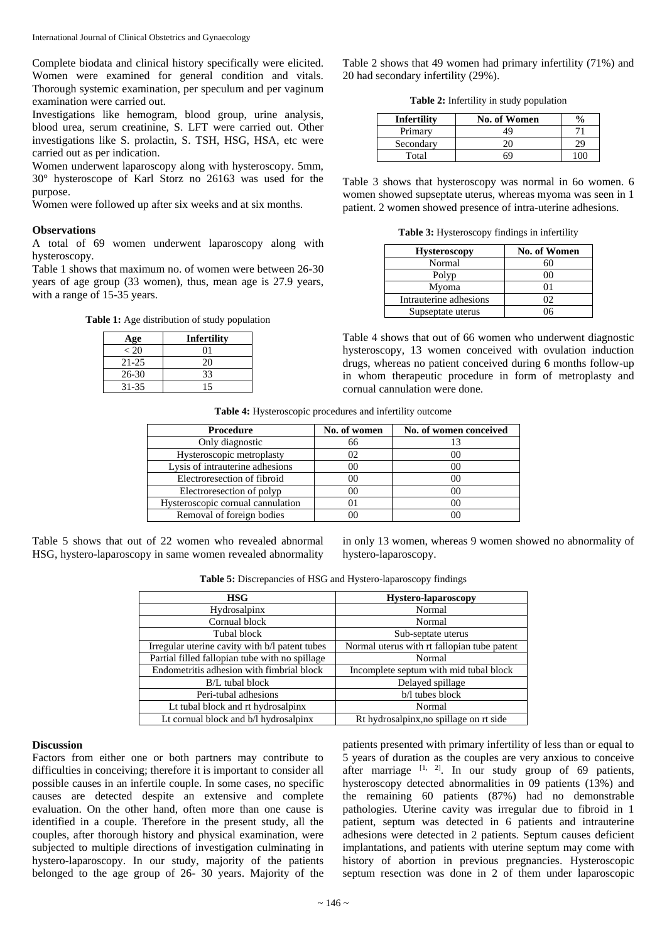Complete biodata and clinical history specifically were elicited. Women were examined for general condition and vitals. Thorough systemic examination, per speculum and per vaginum examination were carried out.

Investigations like hemogram, blood group, urine analysis, blood urea, serum creatinine, S. LFT were carried out. Other investigations like S. prolactin, S. TSH, HSG, HSA, etc were carried out as per indication.

Women underwent laparoscopy along with hysteroscopy. 5mm, 30° hysteroscope of Karl Storz no 26163 was used for the purpose.

Women were followed up after six weeks and at six months.

# **Observations**

A total of 69 women underwent laparoscopy along with hysteroscopy.

Table 1 shows that maximum no. of women were between 26-30 years of age group (33 women), thus, mean age is 27.9 years, with a range of 15-35 years.

**Table 1:** Age distribution of study population

| Age       | <b>Infertility</b> |
|-----------|--------------------|
| $<$ 20    | 01                 |
| $21 - 25$ | 20                 |
| $26-30$   | 33                 |
| 31-35     | 15                 |

Table 2 shows that 49 women had primary infertility (71%) and 20 had secondary infertility (29%).

**Table 2:** Infertility in study population

| <b>Infertility</b> | No. of Women | $\frac{1}{2}$ |
|--------------------|--------------|---------------|
| Primary            | 49           |               |
| Secondary          |              | 29            |
| Total              | 59           | $\alpha$      |

Table 3 shows that hysteroscopy was normal in 6o women. 6 women showed supseptate uterus, whereas myoma was seen in 1 patient. 2 women showed presence of intra-uterine adhesions.

| <b>Hysteroscopy</b>    | No. of Women |  |
|------------------------|--------------|--|
| Normal                 | 60           |  |
| Polyp                  | $\Omega$     |  |
| Myoma                  | 01           |  |
| Intrauterine adhesions | O2           |  |
| Supseptate uterus      | በ6           |  |

Table 4 shows that out of 66 women who underwent diagnostic hysteroscopy, 13 women conceived with ovulation induction drugs, whereas no patient conceived during 6 months follow-up in whom therapeutic procedure in form of metroplasty and cornual cannulation were done.

**Table 4:** Hysteroscopic procedures and infertility outcome

| Procedure                         | No. of women | No. of women conceived |
|-----------------------------------|--------------|------------------------|
| Only diagnostic                   | 66           |                        |
| Hysteroscopic metroplasty         | 02           | იი                     |
| Lysis of intrauterine adhesions   |              | იი                     |
| Electroresection of fibroid       |              | იი                     |
| Electroresection of polyp         |              | იი                     |
| Hysteroscopic cornual cannulation |              | იი                     |
| Removal of foreign bodies         |              |                        |

Table 5 shows that out of 22 women who revealed abnormal HSG, hystero-laparoscopy in same women revealed abnormality

in only 13 women, whereas 9 women showed no abnormality of hystero-laparoscopy.

| <b>HSG</b>                                     | <b>Hystero-laparoscopy</b>                  |  |
|------------------------------------------------|---------------------------------------------|--|
| Hydrosalpinx                                   | Normal                                      |  |
| Cornual block                                  | Normal                                      |  |
| Tubal block                                    | Sub-septate uterus                          |  |
| Irregular uterine cavity with b/l patent tubes | Normal uterus with rt fallopian tube patent |  |
| Partial filled fallopian tube with no spillage | Normal                                      |  |
| Endometritis adhesion with fimbrial block      | Incomplete septum with mid tubal block      |  |
| B/L tubal block                                | Delayed spillage                            |  |
| Peri-tubal adhesions                           | $b/l$ tubes block                           |  |
| Lt tubal block and rt hydrosalpinx             | Normal                                      |  |
| Lt cornual block and b/l hydrosalpinx          | Rt hydrosalpinx, no spillage on rt side     |  |

**Table 5:** Discrepancies of HSG and Hystero-laparoscopy findings

# **Discussion**

Factors from either one or both partners may contribute to difficulties in conceiving; therefore it is important to consider all possible causes in an infertile couple. In some cases, no specific causes are detected despite an extensive and complete evaluation. On the other hand, often more than one cause is identified in a couple. Therefore in the present study, all the couples, after thorough history and physical examination, were subjected to multiple directions of investigation culminating in hystero-laparoscopy. In our study, majority of the patients belonged to the age group of 26- 30 years. Majority of the

patients presented with primary infertility of less than or equal to 5 years of duration as the couples are very anxious to conceive after marriage  $[1, 2]$ . In our study group of 69 patients, hysteroscopy detected abnormalities in 09 patients (13%) and the remaining 60 patients (87%) had no demonstrable pathologies. Uterine cavity was irregular due to fibroid in 1 patient, septum was detected in 6 patients and intrauterine adhesions were detected in 2 patients. Septum causes deficient implantations, and patients with uterine septum may come with history of abortion in previous pregnancies. Hysteroscopic septum resection was done in 2 of them under laparoscopic